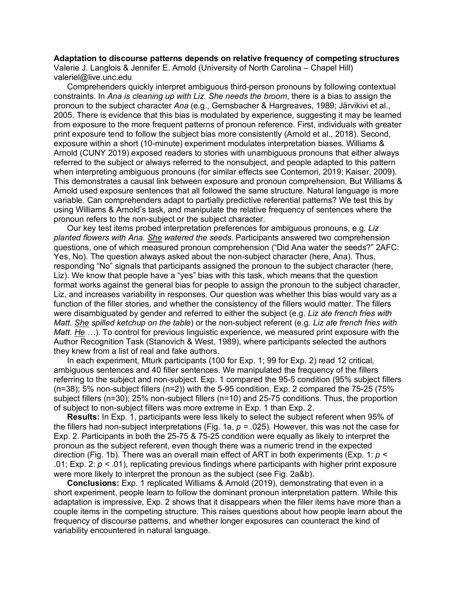## **Adaptation to discourse patterns depends on relative frequency of competing structures**

Valerie J. Langlois & Jennifer E. Arnold (University of North Carolina – Chapel Hill) valeriel@live.unc.edu

Comprehenders quickly interpret ambiguous third-person pronouns by following contextual constraints. In *Ana is cleaning up with Liz. She needs the broom*, there is a bias to assign the pronoun to the subject character *Ana* (e.g., Gernsbacher & Hargreaves, 1989; Järvikivi et al., 2005. There is evidence that this bias is modulated by experience, suggesting it may be learned from exposure to the more frequent patterns of pronoun reference. First, individuals with greater print exposure tend to follow the subject bias more consistently (Arnold et al., 2018). Second, exposure within a short (10-minute) experiment modulates interpretation biases. Williams & Arnold (CUNY 2019) exposed readers to stories with unambiguous pronouns that either always referred to the subject or always referred to the nonsubject, and people adapted to this pattern when interpreting ambiguous pronouns (for similar effects see Contemori, 2019; Kaiser, 2009). This demonstrates a causal link between exposure and pronoun comprehension. But Williams & Arnold used exposure sentences that all followed the same structure. Natural language is more variable. Can comprehenders adapt to partially predictive referential patterns? We test this by using Williams & Arnold's task, and manipulate the relative frequency of sentences where the pronoun refers to the non-subject or the subject character.

Our key test items probed interpretation preferences for ambiguous pronouns, e.g. *Liz planted flowers with Ana. She watered the seeds.* Participants answered two comprehension questions, one of which measured pronoun comprehension ("Did Ana water the seeds?" 2AFC: Yes, No). The question always asked about the non-subject character (here, Ana). Thus, responding "No" signals that participants assigned the pronoun to the subject character (here, Liz). We know that people have a "yes" bias with this task, which means that the question format works against the general bias for people to assign the pronoun to the subject character, Liz, and increases variability in responses. Our question was whether this bias would vary as a function of the filler stories, and whether the consistency of the fillers would matter. The fillers were disambiguated by gender and referred to either the subject (e.g. *Liz ate french fries with Matt. She spilled ketchup on the table*) or the non-subject referent (e.g. *Liz ate french fries with Matt. He* ...). To control for previous linguistic experience, we measured print exposure with the Author Recognition Task (Stanovich & West, 1989), where participants selected the authors they knew from a list of real and fake authors.

In each experiment, Mturk participants (100 for Exp. 1; 99 for Exp. 2) read 12 critical, ambiguous sentences and 40 filler sentences. We manipulated the frequency of the fillers referring to the subject and non-subject. Exp. 1 compared the 95-5 condition (95% subject fillers  $(n=38)$ ; 5% non-subject fillers  $(n=2)$ ) with the 5-95 condition. Exp. 2 compared the 75-25 (75% subject fillers (n=30); 25% non-subject fillers (n=10) and 25-75 conditions. Thus, the proportion of subject to non-subject fillers was more extreme in Exp. 1 than Exp. 2.

**Results:** In Exp. 1, participants were less likely to select the subject referent when 95% of the fillers had non-subject interpretations (Fig. 1a, *p =* .025). However, this was not the case for Exp. 2. Participants in both the 25-75 & 75-25 condition were equally as likely to interpret the pronoun as the subject referent, even though there was a numeric trend in the expected direction (Fig. 1b). There was an overall main effect of ART in both experiments (Exp. 1: *p <*  .01; Exp. 2: *p <* .01), replicating previous findings where participants with higher print exposure were more likely to interpret the pronoun as the subject (see Fig. 2a&b).

**Conclusions:** Exp. 1 replicated Williams & Arnold (2019), demonstrating that even in a short experiment, people learn to follow the dominant pronoun interpretation pattern. While this adaptation is impressive, Exp. 2 shows that it disappears when the filler items have more than a couple items in the competing structure. This raises questions about how people learn about the frequency of discourse patterns, and whether longer exposures can counteract the kind of variability encountered in natural language.